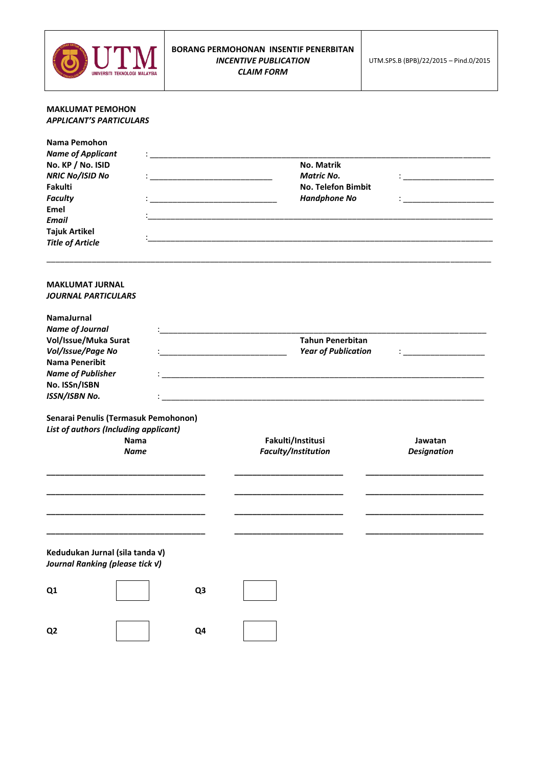

## **MAKLUMAT PEMOHON**  *APPLICANT'S PARTICULARS*

| Nama Pemohon                                                                                                |                            |                                          |                               |  |
|-------------------------------------------------------------------------------------------------------------|----------------------------|------------------------------------------|-------------------------------|--|
| <b>Name of Applicant</b>                                                                                    |                            |                                          |                               |  |
| No. KP / No. ISID                                                                                           |                            | No. Matrik                               |                               |  |
| <b>NRIC No/ISID No</b>                                                                                      |                            | <b>Matric No.</b>                        |                               |  |
| Fakulti                                                                                                     |                            | <b>No. Telefon Bimbit</b>                |                               |  |
| <b>Faculty</b>                                                                                              |                            | <b>Handphone No</b>                      |                               |  |
| Emel                                                                                                        |                            |                                          |                               |  |
| <b>Email</b>                                                                                                |                            |                                          |                               |  |
| <b>Tajuk Artikel</b>                                                                                        |                            |                                          |                               |  |
| <b>Title of Article</b>                                                                                     |                            |                                          |                               |  |
|                                                                                                             |                            |                                          |                               |  |
| <b>MAKLUMAT JURNAL</b>                                                                                      |                            |                                          |                               |  |
| <b>JOURNAL PARTICULARS</b>                                                                                  |                            |                                          |                               |  |
| NamaJurnal                                                                                                  |                            |                                          |                               |  |
| <b>Name of Journal</b>                                                                                      |                            |                                          |                               |  |
| Vol/Issue/Muka Surat                                                                                        |                            | <b>Tahun Penerbitan</b>                  |                               |  |
| Vol/Issue/Page No                                                                                           | <b>Year of Publication</b> |                                          |                               |  |
| <b>Nama Peneribit</b>                                                                                       |                            |                                          |                               |  |
| <b>Name of Publisher</b>                                                                                    |                            |                                          |                               |  |
| No. ISSn/ISBN                                                                                               |                            |                                          |                               |  |
| ISSN/ISBN No.                                                                                               |                            |                                          |                               |  |
| Senarai Penulis (Termasuk Pemohonon)<br>List of authors (Including applicant)<br><b>Nama</b><br><b>Name</b> |                            | Fakulti/Institusi<br>Faculty/Institution | Jawatan<br><b>Designation</b> |  |
|                                                                                                             |                            |                                          |                               |  |
| Kedudukan Jurnal (sila tanda v)<br>Journal Ranking (please tick v)                                          |                            |                                          |                               |  |
| Q1                                                                                                          | Q3                         |                                          |                               |  |
| Q <sub>2</sub>                                                                                              | Q4                         |                                          |                               |  |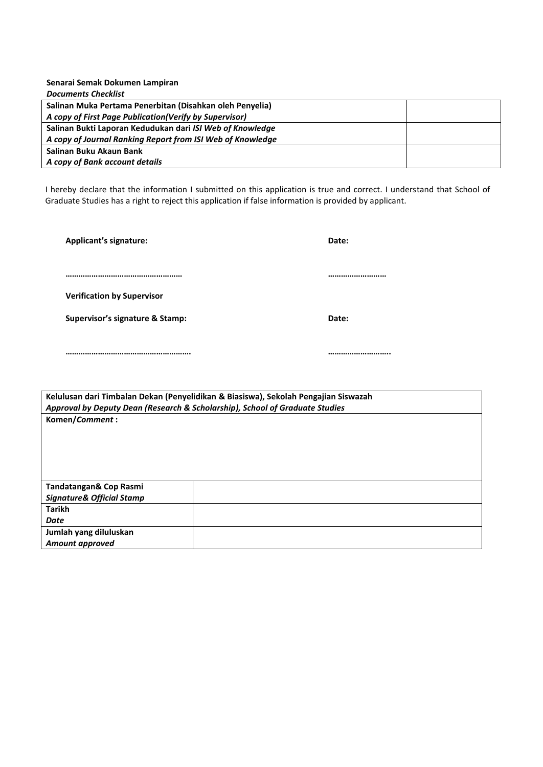| Senarai Semak Dokumen Lampiran                             |  |
|------------------------------------------------------------|--|
| <b>Documents Checklist</b>                                 |  |
| Salinan Muka Pertama Penerbitan (Disahkan oleh Penyelia)   |  |
| A copy of First Page Publication(Verify by Supervisor)     |  |
| Salinan Bukti Laporan Kedudukan dari ISI Web of Knowledge  |  |
| A copy of Journal Ranking Report from ISI Web of Knowledge |  |
| Salinan Buku Akaun Bank                                    |  |
| A copy of Bank account details                             |  |

I hereby declare that the information I submitted on this application is true and correct. I understand that School of Graduate Studies has a right to reject this application if false information is provided by applicant.

**Applicant's signature: Date:**

**……………………………………………… ………………………**

**Verification by Supervisor**

**Supervisor's signature & Stamp: Date:**

**…………………………………………………. ………………………..**

**Kelulusan dari Timbalan Dekan (Penyelidikan & Biasiswa), Sekolah Pengajian Siswazah** *Approval by Deputy Dean (Research & Scholarship), School of Graduate Studies* **Komen/***Comment* **:**

| Tandatangan& Cop Rasmi<br><b>Signature&amp; Official Stamp</b> |  |
|----------------------------------------------------------------|--|
| <b>Tarikh</b>                                                  |  |
| Date                                                           |  |
| Jumlah yang diluluskan                                         |  |
| <b>Amount approved</b>                                         |  |